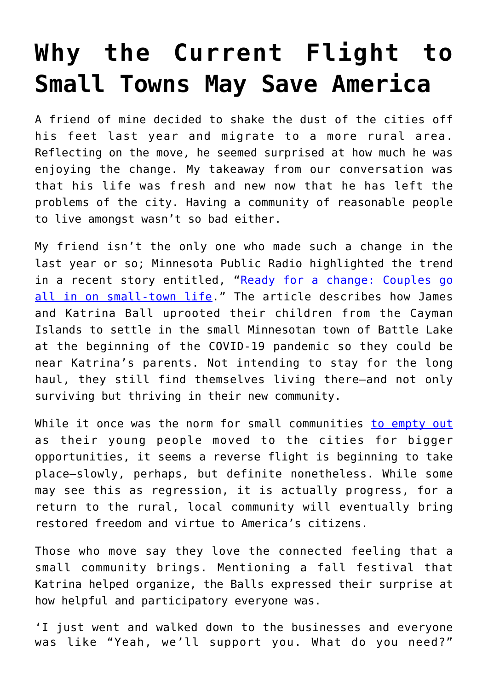## **[Why the Current Flight to](https://intellectualtakeout.org/2022/01/why-the-current-flight-to-small-towns-may-save-america/) [Small Towns May Save America](https://intellectualtakeout.org/2022/01/why-the-current-flight-to-small-towns-may-save-america/)**

A friend of mine decided to shake the dust of the cities off his feet last year and migrate to a more rural area. Reflecting on the move, he seemed surprised at how much he was enjoying the change. My takeaway from our conversation was that his life was fresh and new now that he has left the problems of the city. Having a community of reasonable people to live amongst wasn't so bad either.

My friend isn't the only one who made such a change in the last year or so; Minnesota Public Radio highlighted the trend in a recent story entitled, "[Ready for a change: Couples go](https://www.mprnews.org/story/2021/12/28/ready-for-a-change-couples-go-all-in-on-smalltown-life) [all in on small-town life](https://www.mprnews.org/story/2021/12/28/ready-for-a-change-couples-go-all-in-on-smalltown-life)." The article describes how James and Katrina Ball uprooted their children from the Cayman Islands to settle in the small Minnesotan town of Battle Lake at the beginning of the COVID-19 pandemic so they could be near Katrina's parents. Not intending to stay for the long haul, they still find themselves living there—and not only surviving but thriving in their new community.

While it once was the norm for small communities [to empty out](https://www.visualcapitalist.com/visualizing-200-years-of-u-s-population-density/) as their young people moved to the cities for bigger opportunities, it seems a reverse flight is beginning to take place—slowly, perhaps, but definite nonetheless. While some may see this as regression, it is actually progress, for a return to the rural, local community will eventually bring restored freedom and virtue to America's citizens.

Those who move say they love the connected feeling that a small community brings. Mentioning a fall festival that Katrina helped organize, the Balls expressed their surprise at how helpful and participatory everyone was.

'I just went and walked down to the businesses and everyone was like "Yeah, we'll support you. What do you need?"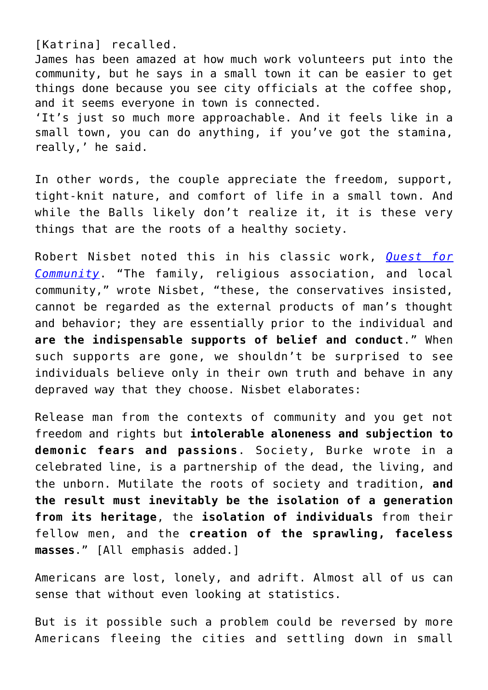[Katrina] recalled.

James has been amazed at how much work volunteers put into the community, but he says in a small town it can be easier to get things done because you see city officials at the coffee shop, and it seems everyone in town is connected. 'It's just so much more approachable. And it feels like in a small town, you can do anything, if you've got the stamina, really,' he said.

In other words, the couple appreciate the freedom, support, tight-knit nature, and comfort of life in a small town. And while the Balls likely don't realize it, it is these very things that are the roots of a healthy society.

Robert Nisbet noted this in his classic work, *[Quest for](https://www.amazon.com/gp/product/1935191500/ref=as_li_qf_asin_il_tl?ie=UTF8&tag=intelltakeo0d-20&creative=9325&linkCode=as2&creativeASIN=1935191500&linkId=b352a0a6dbd76c8fd4dc17702f360208) [Community](https://www.amazon.com/gp/product/1935191500/ref=as_li_qf_asin_il_tl?ie=UTF8&tag=intelltakeo0d-20&creative=9325&linkCode=as2&creativeASIN=1935191500&linkId=b352a0a6dbd76c8fd4dc17702f360208)*. "The family, religious association, and local community," wrote Nisbet, "these, the conservatives insisted, cannot be regarded as the external products of man's thought and behavior; they are essentially prior to the individual and **are the indispensable supports of belief and conduct**." When such supports are gone, we shouldn't be surprised to see individuals believe only in their own truth and behave in any depraved way that they choose. Nisbet elaborates:

Release man from the contexts of community and you get not freedom and rights but **intolerable aloneness and subjection to demonic fears and passions**. Society, Burke wrote in a celebrated line, is a partnership of the dead, the living, and the unborn. Mutilate the roots of society and tradition, **and the result must inevitably be the isolation of a generation from its heritage**, the **isolation of individuals** from their fellow men, and the **creation of the sprawling, faceless masses**." [All emphasis added.]

Americans are lost, lonely, and adrift. Almost all of us can sense that without even looking at statistics.

But is it possible such a problem could be reversed by more Americans fleeing the cities and settling down in small